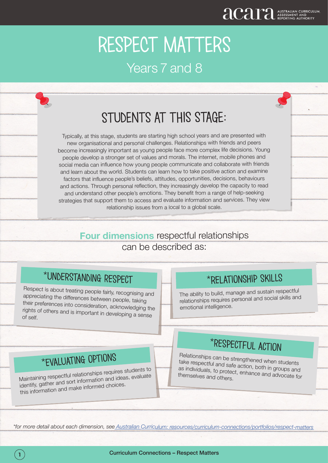## STUDENTS AT THIS STAGE:

Typically, at this stage, students are starting high school years and are presented with new organisational and personal challenges. Relationships with friends and peers become increasingly important as young people face more complex life decisions. Young people develop a stronger set of values and morals. The internet, mobile phones and social media can influence how young people communicate and collaborate with friends and learn about the world. Students can learn how to take positive action and examine factors that influence people's beliefs, attitudes, opportunities, decisions, behaviours and actions. Through personal reflection, they increasingly develop the capacity to read and understand other people's emotions. They benefit from a range of help-seeking strategies that support them to access and evaluate information and services. They view relationship issues from a local to a global scale.

> **Four dimensions** respectful relationships can be described as:

## \*Understanding respect

Respect is about treating people fairly, recognising and appreciating the differences between people, taking their preferences into consideration, acknowledging the rights of others and is important in developing a sense of self.

### \*Relationship skills

The ability to build, manage and sustain respectful relationships requires personal and social skills and emotional intelligence.

## \*evaluating options

Maintaining respectful relationships requires students to identify, gather and sort information and ideas, evaluate this information and make informed choices.

## \*respectful action

Relationships can be strengthened when students take respectful and safe action, both in groups and as individuals, to protect, enhance and advocate for themselves and others.

*\*for more detail about each dimension, see Australian Curriculum: resources/curriculum-connections/portfolios/respect-matters*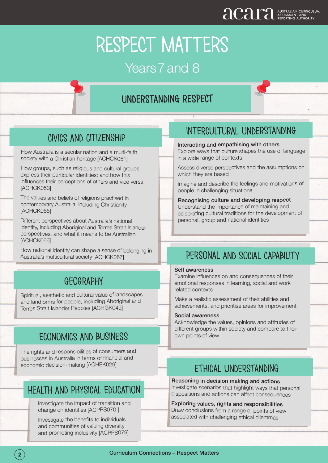# RESPECT MATTERS

## Years 7 and 8

### understanding respect

#### civics and citizenship

How Australia is a secular nation and a multi-faith society with a Christian heritage [ACHCK051]

How groups, such as religious and cultural groups, express their particular identities; and how this influences their perceptions of others and vice versa [ACHCK053]

The values and beliefs of religions practised in contemporary Australia, including Christianity [ACHCK065]

Different perspectives about Australia's national identity, including Aboriginal and Torres Strait Islander perspectives, and what it means to be Australian [ACHCK066]

How national identity can shape a sense of belonging in Australia's multicultural society [ACHCK067]

### GEOGRAPHY

Spiritual, aesthetic and cultural value of landscapes and landforms for people, including Aboriginal and Torres Strait Islander Peoples [ACHGK049]

#### economics and business

The rights and responsibilities of consumers and businesses in Australia in terms of financial and economic decision-making [ACHEK029]

#### Health and physical education

Investigate the impact of transition and change on identities [ACPPS070 ]

Investigate the benefits to individuals and communities of valuing diversity and promoting inclusivity [ACPPS079]

#### intercultural understanding

#### Interacting and empathising with others

Explore ways that culture shapes the use of language in a wide range of contexts

Assess diverse perspectives and the assumptions on which they are based

Imagine and describe the feelings and motivations of people in challenging situations

Recognising culture and developing respect Understand the importance of maintaining and celebrating cultural traditions for the development of personal, group and national identities

#### personal and social capability

#### Self awareness

Examine influences on and consequences of their emotional responses in learning, social and work related contexts

Make a realistic assessment of their abilities and achievements, and prioritise areas for improvement

#### Social awareness

Acknowledge the values, opinions and attitudes of different groups within society and compare to their own points of view

#### ethical understanding

Reasoning in decision making and actions Investigate scenarios that highlight ways that personal dispositions and actions can affect consequences

Exploring values, rights and responsibilities Draw conclusions from a range of points of view associated with challenging ethical dilemmas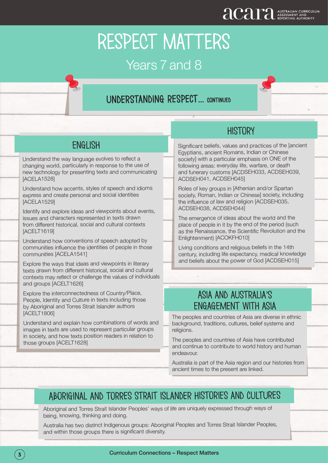# RESPECT MATTERS

## Years 7 and 8

### understanding respect... continued

### **ENGLISH**

Understand the way language evolves to reflect a changing world, particularly in response to the use of new technology for presenting texts and communicating [ACELA1528]

Understand how accents, styles of speech and idioms express and create personal and social identities [ACELA1529]

Identify and explore ideas and viewpoints about events, issues and characters represented in texts drawn from different historical, social and cultural contexts [ACELT1619]

Understand how conventions of speech adopted by communities influence the identities of people in those communities [ACELA1541]

Explore the ways that ideas and viewpoints in literary texts drawn from different historical, social and cultural contexts may reflect or challenge the values of individuals and groups [ACELT1626]

Explore the interconnectedness of Country/Place, People, Identity and Culture in texts including those by Aboriginal and Torres Strait Islander authors [ACELT1806]

Understand and explain how combinations of words and images in texts are used to represent particular groups in society, and how texts position readers in relation to those groups [ACELT1628]

### **HISTORY**

Significant beliefs, values and practices of the [ancient Egyptians, ancient Romans, Indian or Chinese society] with a particular emphasis on ONE of the following areas: everyday life, warfare, or death and funerary customs [ACDSEH033, ACDSEH039, ACDSEH041, ACDSEH045]

Roles of key groups in [Athenian and/or Spartan society, Roman, Indian or Chinese] society, including the influence of law and religion [ACDSEH035, ACDSEH038, ACDSEH044]

The emergence of ideas about the world and the place of people in it by the end of the period (such as the Renaissance, the Scientific Revolution and the Enlightenment) [ACOKFH010]

Living conditions and religious beliefs in the 14th century, including life expectancy, medical knowledge and beliefs about the power of God [ACDSEH015]

## ASIA AND AUSTRALIA'S<br>ENGAGEMENT WITH ASIA

The peoples and countries of Asia are diverse in ethnic background, traditions, cultures, belief systems and religions.

The peoples and countries of Asia have contributed and continue to contribute to world history and human endeavour.

Australia is part of the Asia region and our histories from ancient times to the present are linked.

### Aboriginal and torres strait islander histories and cultures

I

Aboriginal and Torres Strait Islander Peoples' ways of life are uniquely expressed through ways of being, knowing, thinking and doing.

Australia has two distinct Indigenous groups: Aboriginal Peoples and Torres Strait Islander Peoples, and within those groups there is significant diversity.

Ļ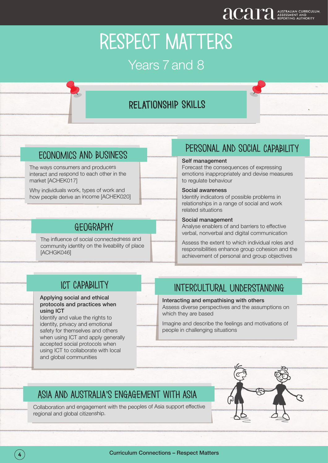#### relationship skills

## ECONOMICS AND BUSINESS Self management

The ways consumers and producers interact and respond to each other in the market [ACHEK017]

Why individuals work, types of work and how people derive an income [ACHEK020]

#### **GEOGRAPHY**

The influence of social connectedness and community identity on the liveability of place [ACHGK046]

#### personal and social capability

Forecast the consequences of expressing emotions inappropriately and devise measures to regulate behaviour

#### Social awareness

Identify indicators of possible problems in relationships in a range of social and work related situations

#### Social management

Analyse enablers of and barriers to effective verbal, nonverbal and digital communication

Assess the extent to which individual roles and responsibilities enhance group cohesion and the achievement of personal and group objectives

#### ict capability

#### Applying social and ethical protocols and practices when using ICT

Identify and value the rights to identity, privacy and emotional safety for themselves and others when using ICT and apply generally accepted social protocols when using ICT to collaborate with local and global communities

#### intercultural understanding

#### Interacting and empathising with others

Assess diverse perspectives and the assumptions on which they are based

Imagine and describe the feelings and motivations of people in challenging situations

### Asia and australia's engagement with asia

Collaboration and engagement with the peoples of Asia support effective regional and global citizenship.



l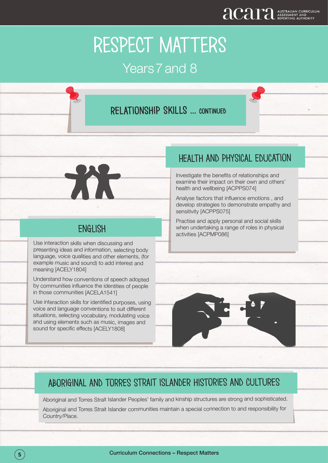### relationship skills ... continued



#### **ENGLISH**

Use interaction skills when discussing and presenting ideas and information, selecting body language, voice qualities and other elements, (for example music and sound) to add interest and meaning [ACELY1804]

Understand how conventions of speech adopted by communities influence the identities of people in those communities [ACELA1541]

Use interaction skills for identified purposes, using voice and language conventions to suit different situations, selecting vocabulary, modulating voice and using elements such as music, images and sound for specific effects [ACELY1808]

l<br>I

#### Health and physical education

Investigate the benefits of relationships and examine their impact on their own and others' health and wellbeing [ACPPS074]

Analyse factors that influence emotions , and develop strategies to demonstrate empathy and sensitivity [ACPPS075]

Practise and apply personal and social skills when undertaking a range of roles in physical activities [ACPMP086]



#### aboriginal and torres strait islander histories and cultures

Aboriginal and Torres Strait Islander Peoples' family and kinship structures are strong and sophisticated.

Aboriginal and Torres Strait Islander communities maintain a special connection to and responsibility for Country/Place.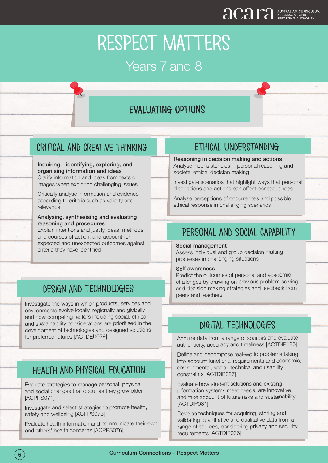### evaluating options

#### critical and creative thinking

#### Inquiring – identifying, exploring, and organising information and ideas

Clarify information and ideas from texts or images when exploring challenging issues

Critically analyse information and evidence according to criteria such as validity and relevance

#### Analysing, synthesising and evaluating reasoning and procedures

Explain intentions and justify ideas, methods and courses of action, and account for expected and unexpected outcomes against criteria they have identified

#### design and technologies

Investigate the ways in which products, services and environments evolve locally, regionally and globally and how competing factors including social, ethical and sustainability considerations are prioritised in the development of technologies and designed solutions for preferred futures [ACTDEK029]

#### health and physical education

Evaluate strategies to manage personal, physical and social changes that occur as they grow older [ACPPS071]

Investigate and select strategies to promote health, safety and wellbeing [ACPPS073]

Evaluate health information and communicate their own and others' health concerns [ACPPS076]

#### ethical understanding

Reasoning in decision making and actions Analyse inconsistencies in personal reasoning and societal ethical decision making

Investigate scenarios that highlight ways that personal dispositions and actions can affect consequences

Analyse perceptions of occurrences and possible ethical response in challenging scenarios

#### personal and social capability

#### Social management

Assess individual and group decision making processes in challenging situations

#### Self awareness

Predict the outcomes of personal and academic challenges by drawing on previous problem solving and decision making strategies and feedback from peers and teachers

#### digital technologies

Acquire data from a range of sources and evaluate authenticity, accuracy and timeliness [ACTDIP025]

Define and decompose real-world problems taking into account functional requirements and economic, environmental, social, technical and usability constraints [ACTDIP027]

Evaluate how student solutions and existing information systems meet needs, are innovative, and take account of future risks and sustainability [ACTDIP031]

Develop techniques for acquiring, storing and validating quantitative and qualitative data from a range of sources, considering privacy and security requirements [ACTDIP036]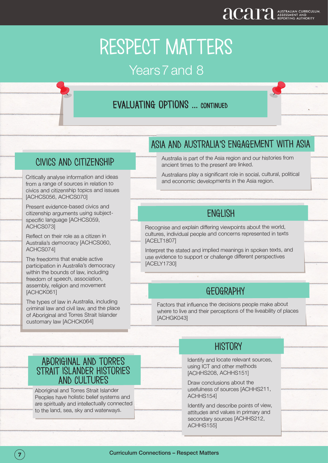## evaluating options ... continued

I

Ļ

#### j Asia and australia's engagement with asia

Civics and Citizenship

from a range of sources in relation to civics and citizenship topics and issues [ACHCS056, ACHCS070]

Present evidence-based civics and citizenship arguments using subjectspecific language [ACHCS059, ACHCS073]

Reflect on their role as a citizen in Australia's democracy [ACHCS060, ACHCS074]

The freedoms that enable active participation in Australia's democracy within the bounds of law, including freedom of speech, association, assembly, religion and movement [ACHCK061]

The types of law in Australia, including criminal law and civil law, and the place of Aboriginal and Torres Strait Islander customary law [ACHCK064]

Australia is part of the Asia region and our histories from ancient times to the present are linked.

Australians play a significant role in social, cultural, political Critically analyse information and ideas **Critically analyse information and ideas** Australians play a significant role in social, culture from a reproduction to and economic developments in the Asia region.

#### **ENGLISH**

Recognise and explain differing viewpoints about the world, cultures, individual people and concerns represented in texts [ACELT1807]

Interpret the stated and implied meanings in spoken texts, and use evidence to support or challenge different perspectives [ACELY1730]

#### **GEOGRAPHY**

Factors that influence the decisions people make about where to live and their perceptions of the liveability of places [ACHGK043]

#### Aboriginal and torres strait islander histories and cultures

 Aboriginal and Torres Strait Islander Peoples have holistic belief systems and are spiritually and intellectually connected to the land, sea, sky and waterways.

#### **HISTORY**

Identify and locate relevant sources, using ICT and other methods [ACHHS208, ACHHS151]

Draw conclusions about the usefulness of sources [ACHHS211, ACHHS154]

Identify and describe points of view, attitudes and values in primary and secondary sources [ACHHS212, ACHHS155]

I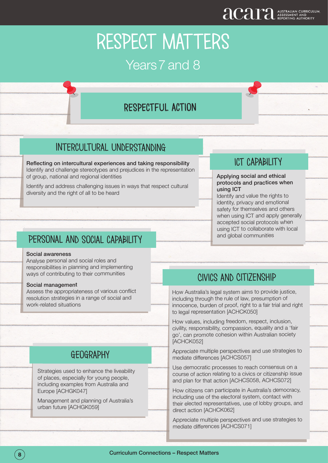### respectful action

#### Intercultural understanding

Reflecting on intercultural experiences and taking responsibility Identify and challenge stereotypes and prejudices in the representation of group, national and regional identities

Identify and address challenging issues in ways that respect cultural diversity and the right of all to be heard

#### Personal and social capability

#### Social awareness

Analyse personal and social roles and responsibilities in planning and implementing ways of contributing to their communities

#### Social management

Assess the appropriateness of various conflict resolution strategies in a range of social and work-related situations

#### **GEOGRAPHY**

Strategies used to enhance the liveability of places, especially for young people, including examples from Australia and Europe [ACHGK047]

Management and planning of Australia's urban future [ACHGK059]

#### ict capability

#### Applying social and ethical protocols and practices when using ICT

Identify and value the rights to identity, privacy and emotional safety for themselves and others when using ICT and apply generally accepted social protocols when using ICT to collaborate with local and global communities

#### Civics and Citizenship

How Australia's legal system aims to provide justice, including through the rule of law, presumption of innocence, burden of proof, right to a fair trial and right to legal representation [ACHCK050]

How values, including freedom, respect, inclusion, civility, responsibility, compassion, equality and a 'fair go', can promote cohesion within Australian society [ACHCK052]

Appreciate multiple perspectives and use strategies to mediate differences [ACHCS057]

Use democratic processes to reach consensus on a course of action relating to a civics or citizenship issue and plan for that action [ACHCS058, ACHCS072]

How citizens can participate in Australia's democracy, including use of the electoral system, contact with their elected representatives, use of lobby groups, and direct action [ACHCK062]

Appreciate multiple perspectives and use strategies to mediate differences [ACHCS071]